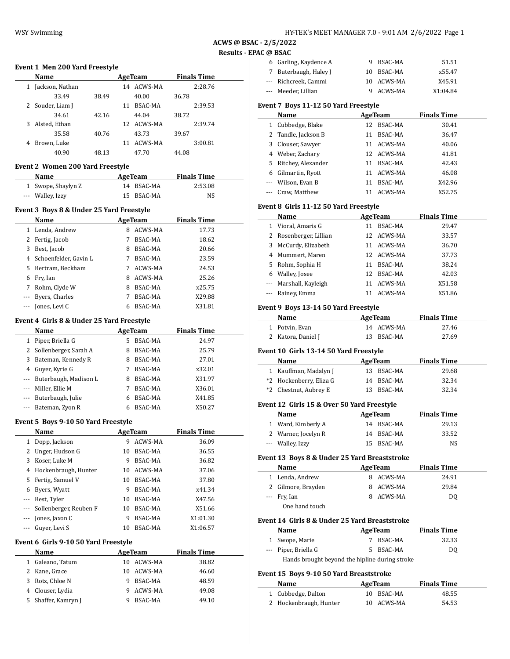**ACWS @ BSAC - 2/5/2022 Results - EPAC @ BSAC**

### **Event 1 Men 200 Yard Freestyle**

|   | Name             | AgeTeam |    |            |       | <b>Finals Time</b> |
|---|------------------|---------|----|------------|-------|--------------------|
|   | Jackson, Nathan  |         | 14 | ACWS-MA    |       | 2:28.76            |
|   | 33.49            | 38.49   |    | 40.00      | 36.78 |                    |
|   | 2 Souder, Liam J |         | 11 | BSAC-MA    |       | 2:39.53            |
|   | 34.61            | 42.16   |    | 44.04      | 38.72 |                    |
| 3 | Alsted, Ethan    |         |    | 12 ACWS-MA |       | 2:39.74            |
|   | 35.58            | 40.76   |    | 43.73      | 39.67 |                    |
| 4 | Brown, Luke      |         | 11 | ACWS-MA    |       | 3:00.81            |
|   | 40.90            | 48.13   |    | 47.70      | 44.08 |                    |

#### **Event 2 Women 200 Yard Freestyle**

| Name               | AgeTeam    | <b>Finals Time</b> |  |
|--------------------|------------|--------------------|--|
| 1 Swope, Shaylyn Z | 14 BSAC-MA | 2:53.08            |  |
| --- Walley, Izzy   | 15 BSAC-MA | NS                 |  |

### **Event 3 Boys 8 & Under 25 Yard Freestyle**

|          | Name                    | AgeTeam |                | <b>Finals Time</b> |  |
|----------|-------------------------|---------|----------------|--------------------|--|
|          | 1 Lenda, Andrew         | 8       | <b>ACWS-MA</b> | 17.73              |  |
|          | 2 Fertig, Jacob         |         | <b>BSAC-MA</b> | 18.62              |  |
| 3        | Best, Jacob             | 8       | BSAC-MA        | 20.66              |  |
|          | 4 Schoenfelder, Gavin L |         | BSAC-MA        | 23.59              |  |
|          | 5 Bertram, Beckham      | 7       | ACWS-MA        | 24.53              |  |
| 6        | Fry, Ian                | 8       | ACWS-MA        | 25.26              |  |
| 7        | Rohm, Clyde W           | 8       | BSAC-MA        | x25.75             |  |
|          | --- Byers, Charles      |         | BSAC-MA        | X29.88             |  |
| $\cdots$ | Jones, Levi C           | 6       | BSAC-MA        | X31.81             |  |

### **Event 4 Girls 8 & Under 25 Yard Freestyle**

|   | Name                      | AgeTeam |                | <b>Finals Time</b> |  |
|---|---------------------------|---------|----------------|--------------------|--|
|   | Piper, Briella G          | 5       | <b>BSAC-MA</b> | 24.97              |  |
|   | 2 Sollenberger, Sarah A   | 8       | <b>BSAC-MA</b> | 25.79              |  |
| 3 | Bateman, Kennedy R        | 8       | BSAC-MA        | 27.01              |  |
| 4 | Guyer, Kyrie G            | 7       | <b>BSAC-MA</b> | x32.01             |  |
|   | --- Buterbaugh, Madison L | 8       | <b>BSAC-MA</b> | X31.97             |  |
|   | --- Miller, Ellie M       |         | BSAC-MA        | X36.01             |  |
|   | --- Buterbaugh, Julie     | 6       | <b>BSAC-MA</b> | X41.85             |  |
|   | Bateman, Zyon R           | 6       | <b>BSAC-MA</b> | X50.27             |  |

### **Event 5 Boys 9-10 50 Yard Freestyle**

|          | Name                   |    | AgeTeam | <b>Finals Time</b> |
|----------|------------------------|----|---------|--------------------|
| 1        | Dopp, Jackson          | 9  | ACWS-MA | 36.09              |
|          | Unger, Hudson G        | 10 | BSAC-MA | 36.55              |
| 3        | Koser, Luke M          | 9  | BSAC-MA | 36.82              |
| 4        | Hockenbraugh, Hunter   | 10 | ACWS-MA | 37.06              |
| 5.       | Fertig, Samuel V       | 10 | BSAC-MA | 37.80              |
| 6        | Byers, Wyatt           | 9  | BSAC-MA | x41.34             |
|          | Best, Tyler            | 10 | BSAC-MA | X47.56             |
| ---      | Sollenberger, Reuben F | 10 | BSAC-MA | X51.66             |
| $\cdots$ | Jones, Jaxon C         | 9  | BSAC-MA | X1:01.30           |
|          | Guyer, Levi S          | 10 | BSAC-MA | X1:06.57           |

#### **Event 6 Girls 9-10 50 Yard Freestyle**

|   | Name              | AgeTeam |            | <b>Finals Time</b> |  |
|---|-------------------|---------|------------|--------------------|--|
|   | 1 Galeano, Tatum  |         | 10 ACWS-MA | 38.82              |  |
|   | 2 Kane, Grace     |         | 10 ACWS-MA | 46.60              |  |
| 3 | Rotz, Chloe N     | 9       | BSAC-MA    | 48.59              |  |
|   | 4 Clouser, Lydia  | q       | ACWS-MA    | 49.08              |  |
| 5 | Shaffer, Kamryn J |         | BSAC-MA    | 49.10              |  |

| 6 Garling, Kaydence A | 9 BSAC-MA  | 51.51    |  |
|-----------------------|------------|----------|--|
| 7 Buterbaugh, Haley J | 10 BSAC-MA | x55.47   |  |
| --- Richcreek, Cammi  | 10 ACWS-MA | X45.91   |  |
| --- Meeder, Lillian   | 9 ACWS-MA  | X1:04.84 |  |

### **Event 7 Boys 11-12 50 Yard Freestyle**

|   | Name                 | AgeTeam |                | <b>Finals Time</b> |
|---|----------------------|---------|----------------|--------------------|
|   | 1 Cubbedge, Blake    | 12      | BSAC-MA        | 30.41              |
|   | 2 Tandle, Jackson B  | 11      | BSAC-MA        | 36.47              |
|   | 3 Clouser, Sawyer    | 11      | ACWS-MA        | 40.06              |
|   | 4 Weber, Zachary     |         | 12 ACWS-MA     | 41.81              |
|   | 5 Ritchey, Alexander | 11      | <b>BSAC-MA</b> | 42.43              |
| 6 | Gilmartin, Ryott     | 11      | ACWS-MA        | 46.08              |
|   | --- Wilson, Evan B   | 11      | <b>BSAC-MA</b> | X42.96             |
|   | --- Craw, Matthew    | 11      | ACWS-MA        | X52.75             |

### **Event 8 Girls 11-12 50 Yard Freestyle**

|   | Name                   |    | AgeTeam        | <b>Finals Time</b> |  |
|---|------------------------|----|----------------|--------------------|--|
|   | 1 Vioral, Amaris G     | 11 | <b>BSAC-MA</b> | 29.47              |  |
|   | 2 Rosenberger, Lillian |    | 12 ACWS-MA     | 33.57              |  |
| 3 | McCurdy, Elizabeth     |    | 11 ACWS-MA     | 36.70              |  |
|   | 4 Mummert, Maren       |    | 12 ACWS-MA     | 37.73              |  |
|   | 5 Rohm, Sophia H       | 11 | BSAC-MA        | 38.24              |  |
|   | 6 Walley, Josee        |    | 12 BSAC-MA     | 42.03              |  |
|   | --- Marshall, Kayleigh | 11 | ACWS-MA        | X51.58             |  |
|   | --- Rainey, Emma       | 11 | ACWS-MA        | X51.86             |  |

### **Event 9 Boys 13-14 50 Yard Freestyle**

| <b>Name</b>        | AgeTeam |            | <b>Finals Time</b> |       |
|--------------------|---------|------------|--------------------|-------|
| 1 Potvin, Evan     |         | 14 ACWS-MA |                    | 27.46 |
| 2 Katora, Daniel J |         | 13 BSAC-MA |                    | 27.69 |

#### **Event 10 Girls 13-14 50 Yard Freestyle**

| Name                    | AgeTeam    | <b>Finals Time</b> |  |
|-------------------------|------------|--------------------|--|
| 1 Kauffman, Madalyn J   | 13 BSAC-MA | 29.68              |  |
| *2 Hockenberry, Eliza G | 14 BSAC-MA | 32.34              |  |
| *2 Chestnut, Aubrey E   | 13 BSAC-MA | 32.34              |  |

#### **Event 12 Girls 15 & Over 50 Yard Freestyle**

| Name                | AgeTeam    |       |  |
|---------------------|------------|-------|--|
| 1 Ward, Kimberly A  | 14 BSAC-MA | 29.13 |  |
| 2 Warner, Jocelyn R | 14 BSAC-MA | 33.52 |  |
| --- Walley, Izzy    | 15 BSAC-MA | NS    |  |

### **Event 13 Boys 8 & Under 25 Yard Breaststroke**

| Name               | AgeTeam   | <b>Finals Time</b> |
|--------------------|-----------|--------------------|
| 1 Lenda, Andrew    | 8 ACWS-MA | 24.91              |
| 2 Gilmore, Brayden | 8 ACWS-MA | 29.84              |
| $-$ Fry, Ian       | 8 ACWS-MA | DO.                |
| _ _ _ _            |           |                    |

One hand touch

 $\sim$ 

 $\frac{1}{2}$ 

### **Event 14 Girls 8 & Under 25 Yard Breaststroke**

| Name                                           | AgeTeam |           | <b>Finals Time</b> |  |
|------------------------------------------------|---------|-----------|--------------------|--|
| 1 Swope, Marie                                 |         | 7 BSAC-MA | 32.33              |  |
| --- Piper, Briella G                           |         | 5 BSAC-MA | DO.                |  |
| Hands brought beyond the hipline during stroke |         |           |                    |  |

### **Event 15 Boys 9-10 50 Yard Breaststroke**

| Name                   | AgeTeam    | <b>Finals Time</b> |  |
|------------------------|------------|--------------------|--|
| 1 Cubbedge, Dalton     | 10 BSAC-MA | 48.55              |  |
| 2 Hockenbraugh, Hunter | 10 ACWS-MA | 54.53              |  |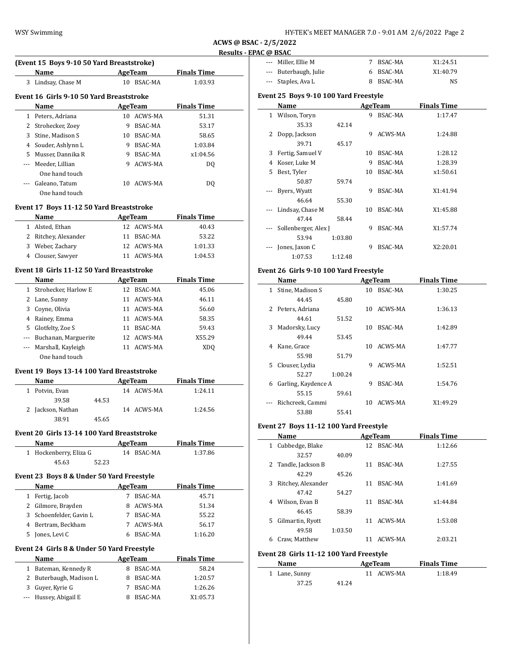| HY-TEK's MEET MANAGER 7.0 - 9:01 AM 2/6/2022 Page 2 |
|-----------------------------------------------------|
|-----------------------------------------------------|

**ACWS @ BSAC - 2/5/2022 C** @ BSAC

|               |                                            |   |                      |                     | <b>Results - EPAC</b> |
|---------------|--------------------------------------------|---|----------------------|---------------------|-----------------------|
|               | (Event 15 Boys 9-10 50 Yard Breaststroke)  |   |                      |                     |                       |
|               | Name AgeTeam                               |   |                      | <b>Finals Time</b>  |                       |
|               | 3 Lindsay, Chase M                         |   | 10 BSAC-MA           | 1:03.93             |                       |
|               | Event 16 Girls 9-10 50 Yard Breaststroke   |   |                      |                     |                       |
|               | Name                                       |   | AgeTeam              | <b>Finals Time</b>  |                       |
|               | 1 Peters, Adriana                          |   | 10 ACWS-MA           | 51.31               |                       |
|               | 2 Strohecker, Zoey                         |   | 9 BSAC-MA            | 53.17               |                       |
|               | 3 Stine, Madison S                         |   | 10 BSAC-MA           | 58.65               |                       |
|               |                                            |   |                      |                     |                       |
|               | 4 Souder, Ashlynn L                        |   | 9 BSAC-MA            | 1:03.84             |                       |
|               | 5 Musser, Dannika R                        |   | 9 BSAC-MA            | x1:04.56            |                       |
|               | --- Meeder, Lillian                        |   | 9 ACWS-MA            | DQ                  |                       |
|               | One hand touch                             |   |                      |                     |                       |
|               | --- Galeano, Tatum<br>One hand touch       |   | 10 ACWS-MA           | DQ                  |                       |
|               | Event 17 Boys 11-12 50 Yard Breaststroke   |   |                      |                     |                       |
|               | Name                                       |   |                      | AgeTeam Finals Time |                       |
|               | 1 Alsted, Ethan                            |   | 12 ACWS-MA           | 40.43               |                       |
|               | 2 Ritchey, Alexander                       |   | 11 BSAC-MA           | 53.22               |                       |
|               | 3 Weber, Zachary                           |   | 12 ACWS-MA           | 1:01.33             |                       |
|               | 4 Clouser, Sawyer                          |   | 11 ACWS-MA           | 1:04.53             |                       |
|               | Event 18 Girls 11-12 50 Yard Breaststroke  |   |                      |                     |                       |
|               | Name                                       |   |                      | AgeTeam Finals Time |                       |
|               | 1 Strohecker, Harlow E                     |   | 12 BSAC-MA           | 45.06               |                       |
|               |                                            |   |                      |                     |                       |
|               | 2 Lane, Sunny                              |   | 11 ACWS-MA           | 46.11               |                       |
|               | 3 Coyne, Olivia                            |   | 11 ACWS-MA           | 56.60               |                       |
|               | 4 Rainey, Emma                             |   | 11 ACWS-MA           | 58.35               |                       |
|               | 5 Glotfelty, Zoe S                         |   | 11 BSAC-MA           | 59.43               |                       |
|               | --- Buchanan, Marguerite                   |   | 12 ACWS-MA           | X55.29              |                       |
|               | --- Marshall, Kayleigh<br>One hand touch   |   | 11 ACWS-MA           | <b>XDQ</b>          |                       |
|               | Event 19 Boys 13-14 100 Yard Breaststroke  |   |                      |                     |                       |
|               | <b>Example 2018 AgeTeam</b><br>Name        |   |                      | <b>Finals Time</b>  |                       |
|               | 1 Potvin, Evan                             |   | 14 ACWS-MA           | 1:24.11             |                       |
|               | 39.58<br>44.53                             |   |                      |                     |                       |
|               | 2 Jackson, Nathan                          |   | 14 ACWS-MA           | 1:24.56             |                       |
|               | 38.91<br>45.65                             |   |                      |                     |                       |
|               | Event 20 Girls 13-14 100 Yard Breaststroke |   |                      |                     |                       |
|               | Name                                       |   | <b>AgeTeam</b>       | <b>Finals Time</b>  |                       |
|               | 1 Hockenberry, Eliza G                     |   | 14 BSAC-MA           | 1:37.86             |                       |
|               | 45.63<br>52.23                             |   |                      |                     |                       |
|               |                                            |   |                      |                     |                       |
|               | Event 23 Boys 8 & Under 50 Yard Freestyle  |   |                      |                     |                       |
|               | Name                                       |   | AgeTeam              | <b>Finals Time</b>  |                       |
|               | 1 Fertig, Jacob                            |   | 7 BSAC-MA            | 45.71               |                       |
|               | 2 Gilmore, Brayden                         |   | 8 ACWS-MA            | 51.34               |                       |
|               | 3 Schoenfelder, Gavin L                    |   | 7 BSAC-MA            | 55.22               |                       |
|               | 4 Bertram, Beckham                         |   | 7 ACWS-MA            | 56.17               |                       |
|               | 5 Jones, Levi C                            |   | 6 BSAC-MA            | 1:16.20             |                       |
|               | Event 24 Girls 8 & Under 50 Yard Freestyle |   |                      |                     |                       |
|               | Name                                       |   | <b>AgeTeam</b>       | <b>Finals Time</b>  |                       |
|               | 1 Bateman, Kennedy R                       |   | 8 BSAC-MA            | 58.24               |                       |
|               | 2 Buterbaugh, Madison L                    |   | 8 BSAC-MA            | 1:20.57             |                       |
|               |                                            |   |                      |                     |                       |
| 3<br>$\cdots$ | Guyer, Kyrie G<br>Hussey, Abigail E        | 7 | BSAC-MA<br>8 BSAC-MA | 1:26.26<br>X1:05.73 |                       |

| --- Miller. Ellie M   | 7 BSAC-MA | X1:24.51 |
|-----------------------|-----------|----------|
| --- Buterbaugh, Julie | 6 BSAC-MA | X1:40.79 |
| --- Staples, Ava L    | 8 BSAC-MA | NS       |

# **Event 25 Boys 9-10 100 Yard Freestyle**

|              | Name                 |         |    | AgeTeam        | <b>Finals Time</b> |  |
|--------------|----------------------|---------|----|----------------|--------------------|--|
| $\mathbf{1}$ | Wilson, Toryn        |         | 9  | BSAC-MA        | 1:17.47            |  |
|              | 35.33                | 42.14   |    |                |                    |  |
| 2            | Dopp, Jackson        |         | 9  | ACWS-MA        | 1:24.88            |  |
|              | 39.71                | 45.17   |    |                |                    |  |
| 3            | Fertig, Samuel V     |         | 10 | BSAC-MA        | 1:28.12            |  |
| 4            | Koser, Luke M        |         | 9  | <b>BSAC-MA</b> | 1:28.39            |  |
| 5.           | Best, Tyler          |         | 10 | BSAC-MA        | x1:50.61           |  |
|              | 50.87                | 59.74   |    |                |                    |  |
|              | Byers, Wyatt         |         | 9  | BSAC-MA        | X1:41.94           |  |
|              | 46.64                | 55.30   |    |                |                    |  |
|              | Lindsay, Chase M     |         | 10 | BSAC-MA        | X1:45.88           |  |
|              | 47.44                | 58.44   |    |                |                    |  |
|              | Sollenberger, Alex J |         | 9  | BSAC-MA        | X1:57.74           |  |
|              | 53.94                | 1:03.80 |    |                |                    |  |
|              | Jones, Jaxon C       |         | 9  | <b>BSAC-MA</b> | X2:20.01           |  |
|              | 1:07.53              | 1:12.48 |    |                |                    |  |

## **Event 26 Girls 9-10 100 Yard Freestyle**

|              | Name                |         |    | AgeTeam | <b>Finals Time</b> |  |
|--------------|---------------------|---------|----|---------|--------------------|--|
| 1            | Stine, Madison S    |         | 10 | BSAC-MA | 1:30.25            |  |
|              | 44.45               | 45.80   |    |         |                    |  |
| $\mathbf{Z}$ | Peters, Adriana     |         | 10 | ACWS-MA | 1:36.13            |  |
|              | 44.61               | 51.52   |    |         |                    |  |
| 3            | Madorsky, Lucy      |         | 10 | BSAC-MA | 1:42.89            |  |
|              | 49.44               | 53.45   |    |         |                    |  |
| 4            | Kane, Grace         |         | 10 | ACWS-MA | 1:47.77            |  |
|              | 55.98               | 51.79   |    |         |                    |  |
| 5.           | Clouser, Lydia      |         | 9  | ACWS-MA | 1:52.51            |  |
|              | 52.27               | 1:00.24 |    |         |                    |  |
| 6            | Garling, Kaydence A |         | 9  | BSAC-MA | 1:54.76            |  |
|              | 55.15               | 59.61   |    |         |                    |  |
|              | Richcreek, Cammi    |         | 10 | ACWS-MA | X1:49.29           |  |
|              | 53.88               | 55.41   |    |         |                    |  |

## **Event 27 Boys 11-12 100 Yard Freestyle**

|    | Name                                       |         |    | AgeTeam    | <b>Finals Time</b> |  |
|----|--------------------------------------------|---------|----|------------|--------------------|--|
| 1  | Cubbedge, Blake                            |         |    | 12 BSAC-MA | 1:12.66            |  |
|    | 32.57                                      | 40.09   |    |            |                    |  |
|    | 2 Tandle, Jackson B                        |         | 11 | BSAC-MA    | 1:27.55            |  |
|    | 42.29                                      | 45.26   |    |            |                    |  |
| 3  | Ritchey, Alexander                         |         | 11 | BSAC-MA    | 1:41.69            |  |
|    | 47.42                                      | 54.27   |    |            |                    |  |
| 4  | Wilson, Evan B                             |         | 11 | BSAC-MA    | x1:44.84           |  |
|    | 46.45                                      | 58.39   |    |            |                    |  |
| 5. | Gilmartin, Ryott                           |         | 11 | ACWS-MA    | 1:53.08            |  |
|    | 49.58                                      | 1:03.50 |    |            |                    |  |
| 6  | Craw. Matthew                              |         |    | 11 ACWS-MA | 2:03.21            |  |
|    | ront 20. Cirls 11. 12. 100 Vord Erooctrile |         |    |            |                    |  |

### **Event 28 Girls 11-12 100 Yard Freestyle**

| <b>Name</b>   |       | AgeTeam    | <b>Finals Time</b> |  |
|---------------|-------|------------|--------------------|--|
| 1 Lane, Sunny |       | 11 ACWS-MA | 1:18.49            |  |
| 37.25         | 41.24 |            |                    |  |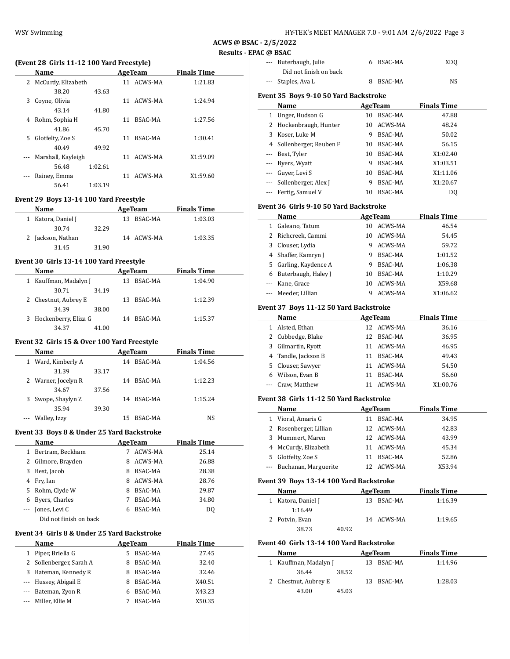| HY-TEK's MEET MANAGER 7.0 - 9:01 AM  2/6/2022  Page 3 |  |  |
|-------------------------------------------------------|--|--|
|-------------------------------------------------------|--|--|

**ACWS @ BSAC - 2/5/2022 PAC @ BSAC** 

|                                             |         |            |                                        | <b>Results - EF</b> |
|---------------------------------------------|---------|------------|----------------------------------------|---------------------|
| (Event 28 Girls 11-12 100 Yard Freestyle)   |         |            |                                        |                     |
| Name                                        |         |            | <b>Example 2.1 AgeTeam</b> Pinals Time |                     |
| 2 McCurdy, Elizabeth                        |         | 11 ACWS-MA | 1:21.83                                |                     |
| 38.20                                       | 43.63   |            |                                        |                     |
| 3 Coyne, Olivia                             |         | 11 ACWS-MA | 1:24.94                                |                     |
| 43.14                                       | 41.80   |            |                                        |                     |
| 4 Rohm, Sophia H                            |         | 11 BSAC-MA | 1:27.56                                |                     |
| 41.86                                       | 45.70   |            |                                        |                     |
| 5 Glotfelty, Zoe S                          |         | 11 BSAC-MA | 1:30.41                                |                     |
| 40.49                                       | 49.92   |            |                                        |                     |
| --- Marshall, Kayleigh                      |         | 11 ACWS-MA | X1:59.09                               |                     |
| 56.48                                       | 1:02.61 |            |                                        |                     |
| --- Rainey, Emma                            |         | 11 ACWS-MA | X1:59.60                               |                     |
| 56.41                                       | 1:03.19 |            |                                        |                     |
| Event 29 Boys 13-14 100 Yard Freestyle      |         |            |                                        |                     |
| Name                                        |         |            | AgeTeam Finals Time                    |                     |
| 1 Katora, Daniel J                          |         | 13 BSAC-MA | 1:03.03                                |                     |
| 30.74                                       | 32.29   |            |                                        |                     |
| 2 Jackson, Nathan                           |         | 14 ACWS-MA | 1:03.35                                |                     |
| 31.45                                       | 31.90   |            |                                        |                     |
|                                             |         |            |                                        |                     |
| Event 30 Girls 13-14 100 Yard Freestyle     |         |            |                                        |                     |
| Name                                        |         |            | AgeTeam Finals Time                    |                     |
| 1 Kauffman, Madalyn J                       |         | 13 BSAC-MA | 1:04.90                                |                     |
| 30.71                                       | 34.19   |            |                                        |                     |
| 2 Chestnut, Aubrey E                        |         | 13 BSAC-MA | 1:12.39                                |                     |
| 34.39                                       | 38.00   |            |                                        |                     |
| 3 Hockenberry, Eliza G                      |         | 14 BSAC-MA | 1:15.37                                |                     |
| 34.37                                       | 41.00   |            |                                        |                     |
| Event 32 Girls 15 & Over 100 Yard Freestyle |         |            |                                        |                     |
| <b>Name</b>                                 |         |            | AgeTeam Finals Time                    |                     |
| 1 Ward, Kimberly A                          |         | 14 BSAC-MA | 1:04.56                                |                     |
| 31.39                                       | 33.17   |            |                                        |                     |
| 2 Warner, Jocelyn R                         |         | 14 BSAC-MA | 1:12.23                                |                     |
| 34.67                                       | 37.56   |            |                                        |                     |
| 3 Swope, Shaylyn Z                          |         | 14 BSAC-MA | 1:15.24                                |                     |
| 35.94                                       | 39.30   |            |                                        |                     |
| --- Walley, Izzy                            |         | 15 BSAC-MA | <b>NS</b>                              |                     |
|                                             |         |            |                                        |                     |
|                                             |         |            |                                        |                     |

# **Event 33 Boys 8 & Under 25 Yard Backstroke**

|     | Name                   |   | AgeTeam        | <b>Finals Time</b> |  |
|-----|------------------------|---|----------------|--------------------|--|
| 1   | Bertram, Beckham       |   | ACWS-MA        | 25.14              |  |
|     | 2 Gilmore, Brayden     | 8 | ACWS-MA        | 26.88              |  |
| 3   | Best, Jacob            | 8 | BSAC-MA        | 28.38              |  |
| 4   | Fry, Ian               | 8 | ACWS-MA        | 28.76              |  |
|     | 5 Rohm, Clyde W        | 8 | BSAC-MA        | 29.87              |  |
| 6   | Byers, Charles         |   | <b>BSAC-MA</b> | 34.80              |  |
| --- | Jones, Levi C          | 6 | <b>BSAC-MA</b> | DO.                |  |
|     | Did not finish on back |   |                |                    |  |

### **Event 34 Girls 8 & Under 25 Yard Backstroke**

| <b>Name</b>             |    | AgeTeam        | <b>Finals Time</b> |  |
|-------------------------|----|----------------|--------------------|--|
| 1 Piper, Briella G      | 5. | BSAC-MA        | 27.45              |  |
| 2 Sollenberger, Sarah A | 8  | BSAC-MA        | 32.40              |  |
| 3 Bateman, Kennedy R    | 8  | BSAC-MA        | 32.46              |  |
| --- Hussey, Abigail E   |    | BSAC-MA        | X40.51             |  |
| --- Bateman, Zyon R     |    | <b>BSAC-MA</b> | X43.23             |  |
| --- Miller, Ellie M     |    | BSAC-MA        | X50.35             |  |

|       | <b>DUIL</b>                              |    |                |                    |  |
|-------|------------------------------------------|----|----------------|--------------------|--|
|       | --- Buterbaugh, Julie                    |    | 6 BSAC-MA      | <b>XDQ</b>         |  |
|       | Did not finish on back                   |    |                |                    |  |
|       | Staples, Ava L                           | 8  | BSAC-MA        | NS                 |  |
|       | Event 35 Boys 9-10 50 Yard Backstroke    |    |                |                    |  |
|       | Name                                     |    | AgeTeam        | <b>Finals Time</b> |  |
|       | 1 Unger, Hudson G                        |    | 10 BSAC-MA     | 47.88              |  |
|       | 2 Hockenbraugh, Hunter                   | 10 | ACWS-MA        | 48.24              |  |
|       | 3 Koser, Luke M                          | 9  | BSAC-MA        | 50.02              |  |
|       | 4 Sollenberger, Reuben F                 |    | 10 BSAC-MA     | 56.15              |  |
|       | --- Best, Tyler                          |    | 10 BSAC-MA     | X1:02.40           |  |
|       | --- Byers, Wyatt                         |    | 9 BSAC-MA      | X1:03.51           |  |
|       | --- Guyer, Levi S                        |    | 10 BSAC-MA     | X1:11.06           |  |
|       | --- Sollenberger, Alex J                 |    | 9 BSAC-MA      | X1:20.67           |  |
|       | --- Fertig, Samuel V                     |    | 10 BSAC-MA     | DQ                 |  |
|       | Event 36 Girls 9-10 50 Yard Backstroke   |    |                |                    |  |
|       | Name                                     |    | AgeTeam        | <b>Finals Time</b> |  |
|       | 1 Galeano, Tatum                         |    | 10 ACWS-MA     | 46.54              |  |
|       | 2 Richcreek, Cammi                       |    | 10 ACWS-MA     | 54.45              |  |
|       | 3 Clouser, Lydia                         |    | 9 ACWS-MA      | 59.72              |  |
|       | 4 Shaffer, Kamryn J                      |    | 9 BSAC-MA      | 1:01.52            |  |
|       | 5 Garling, Kaydence A                    |    | 9 BSAC-MA      | 1:06.38            |  |
|       | 6 Buterbaugh, Haley J                    |    | 10 BSAC-MA     | 1:10.29            |  |
|       | --- Kane, Grace                          | 10 | ACWS-MA        | X59.68             |  |
| $---$ | Meeder, Lillian                          | 9  | ACWS-MA        | X1:06.62           |  |
|       |                                          |    |                |                    |  |
|       | Event 37 Boys 11-12 50 Yard Backstroke   |    |                |                    |  |
|       | Name                                     |    | AgeTeam        | <b>Finals Time</b> |  |
|       | 1 Alsted, Ethan                          |    | 12 ACWS-MA     | 36.16              |  |
|       | 2 Cubbedge, Blake                        |    | 12 BSAC-MA     | 36.95              |  |
|       | 3 Gilmartin, Ryott                       |    | 11 ACWS-MA     | 46.95              |  |
|       | 4 Tandle, Jackson B                      |    | 11 BSAC-MA     | 49.43              |  |
|       | 5 Clouser, Sawyer                        |    | 11 ACWS-MA     | 54.50              |  |
|       | 6 Wilson, Evan B                         |    | 11 BSAC-MA     | 56.60              |  |
| ---   | Craw, Matthew                            |    | 11 ACWS-MA     | X1:00.76           |  |
|       | Event 38 Girls 11-12 50 Yard Backstroke  |    |                |                    |  |
|       | Name                                     |    | <b>AgeTeam</b> | <b>Finals Time</b> |  |
|       | 1 Vioral, Amaris G                       |    | 11 BSAC-MA     | 34.95              |  |
|       | 2 Rosenberger, Lillian                   |    | 12 ACWS-MA     | 42.83              |  |
|       | 3 Mummert, Maren                         |    | 12 ACWS-MA     | 43.99              |  |
|       | 4 McCurdy, Elizabeth                     |    | 11 ACWS-MA     | 45.34              |  |
|       | 5 Glotfelty, Zoe S                       |    | 11 BSAC-MA     | 52.86              |  |
|       | --- Buchanan, Marguerite                 |    | 12 ACWS-MA     | X53.94             |  |
|       | Event 39 Boys 13-14 100 Yard Backstroke  |    |                |                    |  |
|       | Name                                     |    | AgeTeam        | <b>Finals Time</b> |  |
|       | 1 Katora, Daniel J                       |    | 13 BSAC-MA     | 1:16.39            |  |
|       | 1:16.49                                  |    |                |                    |  |
|       | 2 Potvin, Evan                           |    | 14 ACWS-MA     | 1:19.65            |  |
|       | 38.73<br>40.92                           |    |                |                    |  |
|       | Event 40 Girls 13-14 100 Yard Backstroke |    |                |                    |  |
|       | <b>Name</b>                              |    | <b>AgeTeam</b> | <b>Finals Time</b> |  |
|       | 1 Kauffman, Madalyn J                    |    | 13 BSAC-MA     | 1:14.96            |  |
|       |                                          |    |                |                    |  |
|       | 36.44                                    |    |                |                    |  |
|       | 38.52<br>2 Chestnut, Aubrey E            |    | 13 BSAC-MA     | 1:28.03            |  |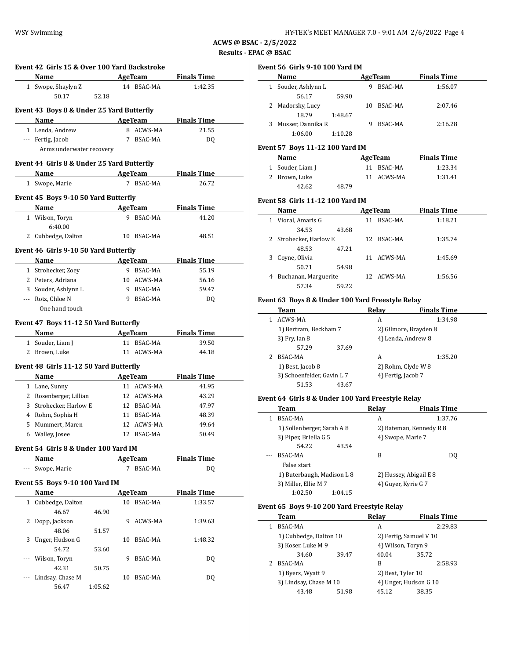**ACWS @ BSAC - 2/5/2022 Results - EPAC @ BSAC**

 $\overline{a}$ 

|     | Name                                          |         | AgeTeam                     | <b>Finals Time</b>                   |
|-----|-----------------------------------------------|---------|-----------------------------|--------------------------------------|
| 1   | Swope, Shaylyn Z<br>50.17                     | 52.18   | 14 BSAC-MA                  | 1:42.35                              |
|     | Event 43 Boys 8 & Under 25 Yard Butterfly     |         |                             |                                      |
|     | Name AgeTeam                                  |         |                             | <b>Finals Time</b>                   |
|     | 1 Lenda, Andrew                               |         | 8 ACWS-MA                   | 21.55                                |
|     | --- Fertig, Jacob<br>Arms underwater recovery | 7       | BSAC-MA                     | DQ                                   |
|     | Event 44 Girls 8 & Under 25 Yard Butterfly    |         |                             |                                      |
|     | Name AgeTeam                                  |         |                             | Finals Time                          |
|     | 1 Swope, Marie                                |         | 7 BSAC-MA                   | 26.72                                |
|     | Event 45 Boys 9-10 50 Yard Butterfly          |         |                             |                                      |
|     | Name AgeTeam Finals Time                      |         |                             |                                      |
|     | 1 Wilson, Toryn                               |         | 9 BSAC-MA                   | 41.20                                |
|     | 6:40.00                                       |         |                             |                                      |
|     | 2 Cubbedge, Dalton                            |         | 10 BSAC-MA                  | 48.51                                |
|     | Event 46 Girls 9-10 50 Yard Butterfly         |         |                             |                                      |
|     | Name                                          |         |                             | AgeTeam Finals Time                  |
|     | 1 Strohecker, Zoey                            |         | 9 BSAC-MA                   | 55.19                                |
|     | 2 Peters, Adriana                             |         | 10 ACWS-MA                  | 56.16                                |
|     | 3 Souder, Ashlynn L                           |         | 9 BSAC-MA                   | 59.47                                |
|     | --- Rotz, Chloe N                             |         | 9 BSAC-MA                   | DQ                                   |
|     |                                               |         |                             |                                      |
|     | One hand touch                                |         |                             |                                      |
|     | Event 47 Boys 11-12 50 Yard Butterfly         |         |                             |                                      |
|     | Name                                          |         | <b>AgeTeam</b>              |                                      |
|     | 1 Souder, Liam J                              |         | 11 BSAC-MA                  |                                      |
|     | 2 Brown, Luke                                 |         | 11 ACWS-MA                  | <b>Finals Time</b><br>39.50<br>44.18 |
|     | Event 48 Girls 11-12 50 Yard Butterfly        |         |                             |                                      |
|     | Name                                          |         | AgeTeam                     | <b>Finals Time</b>                   |
|     | 1 Lane, Sunny                                 |         | 11 ACWS-MA                  | 41.95                                |
|     | 2 Rosenberger, Lillian                        |         | 12 ACWS-MA                  | 43.29                                |
|     | 3 Strohecker, Harlow E                        |         | 12 BSAC-MA                  | 47.97                                |
|     | 4 Rohm, Sophia H                              |         | 11 BSAC-MA                  | 48.39                                |
| 5   | Mummert, Maren                                | 12      | ACWS-MA<br>12 BSAC-MA       | 49.64                                |
|     | 6 Walley, Josee                               |         |                             | 50.49                                |
|     | Event 54 Girls 8 & Under 100 Yard IM          |         |                             |                                      |
| --- | Name<br>Swope, Marie                          |         | <b>AgeTeam</b><br>7 BSAC-MA | <b>Finals Time</b><br>DQ             |
|     | <b>Event 55 Boys 9-10 100 Yard IM</b>         |         |                             |                                      |
|     |                                               |         | AgeTeam                     | <b>Finals Time</b>                   |
|     | Name<br>1 Cubbedge, Dalton                    |         | 10 BSAC-MA                  | 1:33.57                              |
|     | 46.67                                         | 46.90   |                             |                                      |
| 2   | Dopp, Jackson                                 | 9       | ACWS-MA                     | 1:39.63                              |
|     | 48.06                                         | 51.57   |                             |                                      |
| 3   | Unger, Hudson G                               | 10      | BSAC-MA                     | 1:48.32                              |
|     | 54.72                                         | 53.60   |                             |                                      |
|     | Wilson, Toryn                                 | 9       | BSAC-MA                     | DQ                                   |
|     | 42.31                                         | 50.75   |                             |                                      |
|     | Lindsay, Chase M<br>56.47                     | 1:05.62 | 10 BSAC-MA                  | DQ                                   |

### **Event 56 Girls 9-10 100 Yard IM**

|   | Name              |         |    | AgeTeam | <b>Finals Time</b> |  |
|---|-------------------|---------|----|---------|--------------------|--|
| 1 | Souder, Ashlynn L |         | 9  | BSAC-MA | 1:56.07            |  |
|   | 56.17             | 59.90   |    |         |                    |  |
|   | 2 Madorsky, Lucy  |         | 10 | BSAC-MA | 2:07.46            |  |
|   | 18.79             | 1:48.67 |    |         |                    |  |
|   | Musser, Dannika R |         | g  | BSAC-MA | 2:16.28            |  |
|   | 1:06.00           | 1:10.28 |    |         |                    |  |
|   |                   |         |    |         |                    |  |

## **Event 57 Boys 11-12 100 Yard IM**

| Name             |       | AgeTeam    | <b>Finals Time</b> |  |
|------------------|-------|------------|--------------------|--|
| 1 Souder, Liam J |       | 11 BSAC-MA | 1:23.34            |  |
| 2 Brown. Luke    |       | 11 ACWS-MA | 1:31.41            |  |
| 42.62            | 48.79 |            |                    |  |

#### **Event 58 Girls 11-12 100 Yard IM**

|              | Name                   |       |    | AgeTeam    | <b>Finals Time</b> |  |
|--------------|------------------------|-------|----|------------|--------------------|--|
| $\mathbf{1}$ | Vioral, Amaris G       |       | 11 | BSAC-MA    | 1:18.21            |  |
|              | 34.53                  | 43.68 |    |            |                    |  |
|              | 2 Strohecker, Harlow E |       |    | 12 BSAC-MA | 1:35.74            |  |
|              | 48.53                  | 47.21 |    |            |                    |  |
| 3            | Coyne, Olivia          |       | 11 | ACWS-MA    | 1:45.69            |  |
|              | 50.71                  | 54.98 |    |            |                    |  |
| 4            | Buchanan, Marguerite   |       |    | 12 ACWS-MA | 1:56.56            |  |
|              | 57.34                  | 59.22 |    |            |                    |  |

### **Event 63 Boys 8 & Under 100 Yard Freestyle Relay**

| Team                       |       | Relay              | <b>Finals Time</b>    |
|----------------------------|-------|--------------------|-----------------------|
| ACWS-MA                    |       | A                  | 1:34.98               |
| 1) Bertram, Beckham 7      |       |                    | 2) Gilmore, Brayden 8 |
| 3) Fry, Ian 8              |       |                    | 4) Lenda, Andrew 8    |
| 57.29                      | 37.69 |                    |                       |
| BSAC-MA                    |       | А                  | 1:35.20               |
| 1) Best, Jacob 8           |       |                    | 2) Rohm, Clyde W 8    |
| 3) Schoenfelder, Gavin L 7 |       | 4) Fertig, Jacob 7 |                       |
| 51.53                      | 43.67 |                    |                       |

# **Event 64 Girls 8 & Under 100 Yard Freestyle Relay**

|   | Team                       |         | Relav | <b>Finals Time</b>      |
|---|----------------------------|---------|-------|-------------------------|
| 1 | BSAC-MA                    |         | A     | 1:37.76                 |
|   | 1) Sollenberger, Sarah A 8 |         |       | 2) Bateman, Kennedy R 8 |
|   | 3) Piper, Briella G 5      |         |       | 4) Swope, Marie 7       |
|   | 54.22                      | 43.54   |       |                         |
|   | BSAC-MA                    |         | B     | DO.                     |
|   | False start                |         |       |                         |
|   | 1) Buterbaugh, Madison L 8 |         |       | 2) Hussey, Abigail E 8  |
|   | 3) Miller, Ellie M 7       |         |       | 4) Guyer, Kyrie G 7     |
|   | 1:02.50                    | 1:04.15 |       |                         |

## **Event 65 Boys 9-10 200 Yard Freestyle Relay**

|  | Team                                        |       | Relav                  | <b>Finals Time</b> |  |
|--|---------------------------------------------|-------|------------------------|--------------------|--|
|  | BSAC-MA                                     |       | A                      | 2:29.83            |  |
|  | 1) Cubbedge, Dalton 10                      |       | 2) Fertig, Samuel V 10 |                    |  |
|  | 3) Koser, Luke M 9                          |       | 4) Wilson, Toryn 9     |                    |  |
|  | 34.60                                       | 39.47 | 40.04                  | 35.72              |  |
|  | BSAC-MA                                     |       | B                      | 2:58.93            |  |
|  | 1) Byers, Wyatt 9<br>3) Lindsay, Chase M 10 |       | 2) Best, Tyler 10      |                    |  |
|  |                                             |       | 4) Unger, Hudson G 10  |                    |  |
|  | 43.48                                       | 51.98 | 45.12                  | 38.35              |  |